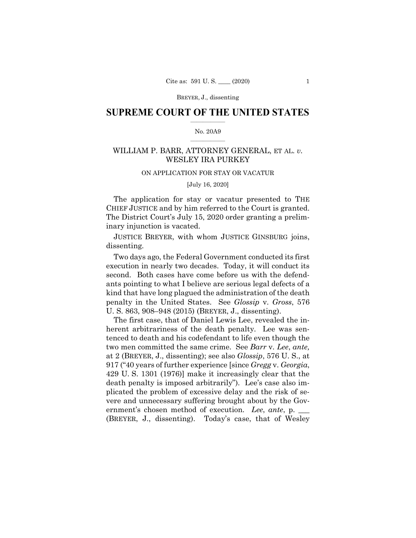# **SUPREME COURT OF THE UNITED STATES**  $\overline{\phantom{a}}$  , where  $\overline{\phantom{a}}$

## No. 20A9  $\overline{\phantom{a}}$  , where  $\overline{\phantom{a}}$

# WILLIAM P. BARR, ATTORNEY GENERAL, ET AL. *v.* WESLEY IRA PURKEY

# ON APPLICATION FOR STAY OR VACATUR

# [July 16, 2020]

The application for stay or vacatur presented to THE CHIEF JUSTICE and by him referred to the Court is granted. The District Court's July 15, 2020 order granting a preliminary injunction is vacated.

JUSTICE BREYER, with whom JUSTICE GINSBURG joins, dissenting.

Two days ago, the Federal Government conducted its first execution in nearly two decades. Today, it will conduct its second. Both cases have come before us with the defendants pointing to what I believe are serious legal defects of a kind that have long plagued the administration of the death penalty in the United States. See *Glossip* v. *Gross*, 576 U. S. 863, 908–948 (2015) (BREYER, J., dissenting).

The first case, that of Daniel Lewis Lee, revealed the inherent arbitrariness of the death penalty. Lee was sentenced to death and his codefendant to life even though the two men committed the same crime. See *Barr* v. *Lee*, *ante,* at 2 (BREYER, J., dissenting); see also *Glossip*, 576 U. S., at 917 ("40 years of further experience [since *Gregg* v. *Georgia*, 429 U. S. 1301 (1976)] make it increasingly clear that the death penalty is imposed arbitrarily"). Lee's case also implicated the problem of excessive delay and the risk of severe and unnecessary suffering brought about by the Government's chosen method of execution. *Lee*, *ante*, p. \_\_\_ (BREYER, J., dissenting). Today's case, that of Wesley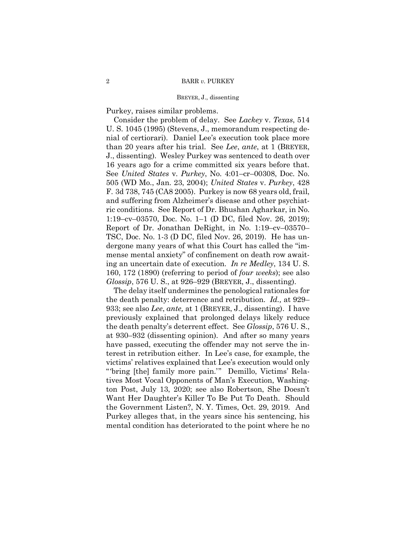Purkey, raises similar problems.

Consider the problem of delay. See *Lackey* v. *Texas*, 514 U. S. 1045 (1995) (Stevens, J., memorandum respecting denial of certiorari). Daniel Lee's execution took place more than 20 years after his trial. See *Lee*, *ante*, at 1 (BREYER, J., dissenting). Wesley Purkey was sentenced to death over 16 years ago for a crime committed six years before that. See *United States* v. *Purkey*, No. 4:01–cr–00308, Doc. No. 505 (WD Mo., Jan. 23, 2004); *United States* v. *Purkey*, 428 F. 3d 738, 745 (CA8 2005). Purkey is now 68 years old, frail, and suffering from Alzheimer's disease and other psychiatric conditions. See Report of Dr. Bhushan Agharkar, in No. 1:19–cv–03570, Doc. No. 1–1 (D DC, filed Nov. 26, 2019); Report of Dr. Jonathan DeRight, in No. 1:19–cv–03570– TSC, Doc. No. 1-3 (D DC, filed Nov. 26, 2019). He has undergone many years of what this Court has called the "immense mental anxiety" of confinement on death row awaiting an uncertain date of execution. *In re Medley*, 134 U. S. 160, 172 (1890) (referring to period of *four weeks*); see also *Glossip*, 576 U. S., at 926–929 (BREYER, J., dissenting).

The delay itself undermines the penological rationales for the death penalty: deterrence and retribution. *Id.,* at 929– 933; see also *Lee*, *ante,* at 1 (BREYER, J., dissenting). I have previously explained that prolonged delays likely reduce the death penalty's deterrent effect. See *Glossip*, 576 U. S., at 930–932 (dissenting opinion). And after so many years have passed, executing the offender may not serve the interest in retribution either. In Lee's case, for example, the victims' relatives explained that Lee's execution would only "'bring [the] family more pain.'" Demillo, Victims' Relatives Most Vocal Opponents of Man's Execution, Washington Post, July 13, 2020; see also Robertson, She Doesn't Want Her Daughter's Killer To Be Put To Death. Should the Government Listen?, N. Y. Times, Oct. 29, 2019. And Purkey alleges that, in the years since his sentencing, his mental condition has deteriorated to the point where he no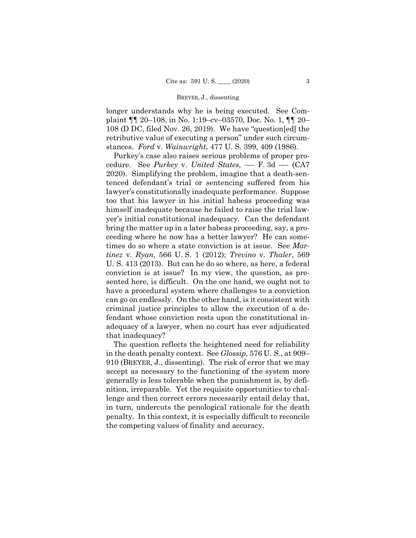longer understands why he is being executed. See Complaint ¶¶ 20–108, in No. 1:19–cv–03570, Doc. No. 1, ¶¶ 20– 108 (D DC, filed Nov. 26, 2019). We have "question[ed] the retributive value of executing a person" under such circumstances. *Ford* v. *Wainwright*, 477 U. S. 399, 409 (1986).

Purkey's case also raises serious problems of proper procedure. See *Purkey* v. *United States*, —- F. 3d —- (CA7 2020). Simplifying the problem, imagine that a death-sentenced defendant's trial or sentencing suffered from his lawyer's constitutionally inadequate performance. Suppose too that his lawyer in his initial habeas proceeding was himself inadequate because he failed to raise the trial lawyer's initial constitutional inadequacy. Can the defendant bring the matter up in a later habeas proceeding, say, a proceeding where he now has a better lawyer? He can sometimes do so where a state conviction is at issue. See *Martinez* v. *Ryan*, 566 U. S. 1 (2012); *Trevino* v. *Thaler*, 569 U. S. 413 (2013). But can he do so where, as here, a federal conviction is at issue? In my view, the question, as presented here, is difficult. On the one hand, we ought not to have a procedural system where challenges to a conviction can go on endlessly. On the other hand, is it consistent with criminal justice principles to allow the execution of a defendant whose conviction rests upon the constitutional inadequacy of a lawyer, when no court has ever adjudicated that inadequacy?

The question reflects the heightened need for reliability in the death penalty context. See *Glossip*, 576 U. S., at 909– 910 (BREYER, J., dissenting). The risk of error that we may accept as necessary to the functioning of the system more generally is less tolerable when the punishment is, by definition, irreparable. Yet the requisite opportunities to challenge and then correct errors necessarily entail delay that, in turn, undercuts the penological rationale for the death penalty. In this context, it is especially difficult to reconcile the competing values of finality and accuracy.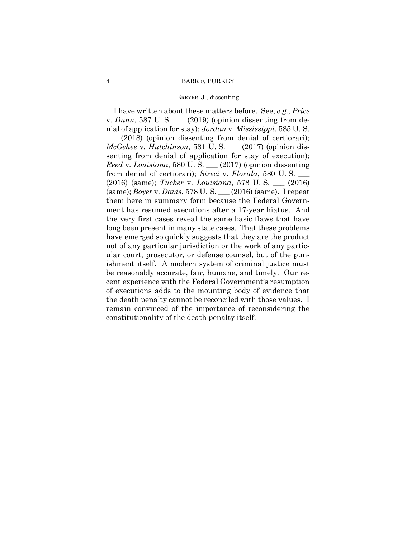I have written about these matters before. See, *e.g., Price*  v. *Dunn*, 587 U. S. \_\_\_ (2019) (opinion dissenting from denial of application for stay); *Jordan* v. *Mississippi*, 585 U. S.

 $(2018)$  (opinion dissenting from denial of certiorari); *McGehee* v. *Hutchinson*, 581 U. S. \_\_\_ (2017) (opinion dissenting from denial of application for stay of execution); *Reed* v. *Louisiana*, 580 U. S. \_\_\_ (2017) (opinion dissenting from denial of certiorari); *Sireci* v. *Florida*, 580 U. S. \_\_\_ (2016) (same); *Tucker* v. *Louisiana*, 578 U. S. \_\_\_ (2016) (same); *Boyer* v. *Davis*, 578 U. S. \_\_\_ (2016) (same). I repeat them here in summary form because the Federal Government has resumed executions after a 17-year hiatus. And the very first cases reveal the same basic flaws that have long been present in many state cases. That these problems have emerged so quickly suggests that they are the product not of any particular jurisdiction or the work of any particular court, prosecutor, or defense counsel, but of the punishment itself. A modern system of criminal justice must be reasonably accurate, fair, humane, and timely. Our recent experience with the Federal Government's resumption of executions adds to the mounting body of evidence that the death penalty cannot be reconciled with those values. I remain convinced of the importance of reconsidering the constitutionality of the death penalty itself.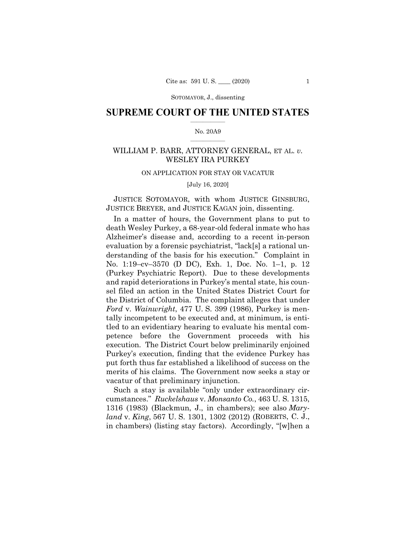# **SUPREME COURT OF THE UNITED STATES**  $\overline{\phantom{a}}$  , where  $\overline{\phantom{a}}$

## No. 20A9  $\overline{\phantom{a}}$  , where  $\overline{\phantom{a}}$

# WILLIAM P. BARR, ATTORNEY GENERAL, ET AL. *v.* WESLEY IRA PURKEY

# ON APPLICATION FOR STAY OR VACATUR

[July 16, 2020]

JUSTICE SOTOMAYOR, with whom JUSTICE GINSBURG, JUSTICE BREYER, and JUSTICE KAGAN join, dissenting.

In a matter of hours, the Government plans to put to death Wesley Purkey, a 68-year-old federal inmate who has Alzheimer's disease and, according to a recent in-person evaluation by a forensic psychiatrist, "lack[s] a rational understanding of the basis for his execution." Complaint in No. 1:19–cv–3570 (D DC), Exh. 1, Doc. No. 1–1, p. 12 (Purkey Psychiatric Report). Due to these developments and rapid deteriorations in Purkey's mental state, his counsel filed an action in the United States District Court for the District of Columbia. The complaint alleges that under *Ford* v. *Wainwright*, 477 U. S. 399 (1986), Purkey is mentally incompetent to be executed and, at minimum, is entitled to an evidentiary hearing to evaluate his mental competence before the Government proceeds with his execution. The District Court below preliminarily enjoined Purkey's execution, finding that the evidence Purkey has put forth thus far established a likelihood of success on the merits of his claims. The Government now seeks a stay or vacatur of that preliminary injunction.

Such a stay is available "only under extraordinary circumstances." *Ruckelshaus* v. *Monsanto Co.*, 463 U. S. 1315, 1316 (1983) (Blackmun, J., in chambers); see also *Maryland* v. *King*, 567 U. S. 1301, 1302 (2012) (ROBERTS, C. J., in chambers) (listing stay factors). Accordingly, "[w]hen a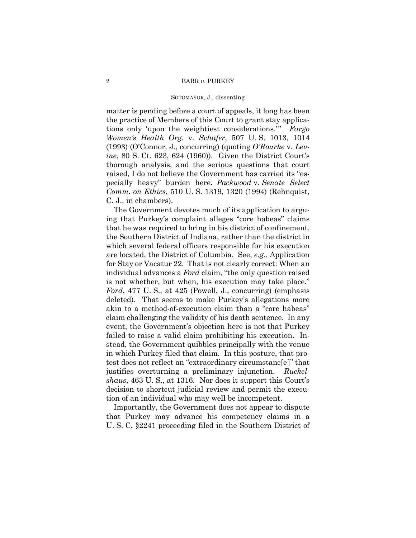matter is pending before a court of appeals, it long has been the practice of Members of this Court to grant stay applications only 'upon the weightiest considerations.'" *Fargo Women's Health Org.* v. *Schafer*, 507 U. S. 1013, 1014 (1993) (O'Connor, J., concurring) (quoting *O'Rourke* v. *Levine*, 80 S. Ct. 623, 624 (1960)). Given the District Court's thorough analysis, and the serious questions that court raised, I do not believe the Government has carried its "especially heavy" burden here. *Packwood* v. *Senate Select Comm. on Ethics*, 510 U. S. 1319, 1320 (1994) (Rehnquist, C. J., in chambers).

The Government devotes much of its application to arguing that Purkey's complaint alleges "core habeas" claims that he was required to bring in his district of confinement, the Southern District of Indiana, rather than the district in which several federal officers responsible for his execution are located, the District of Columbia. See, *e.g.*, Application for Stay or Vacatur 22. That is not clearly correct: When an individual advances a *Ford* claim, "the only question raised is not whether, but when, his execution may take place." *Ford*, 477 U. S., at 425 (Powell, J., concurring) (emphasis deleted). That seems to make Purkey's allegations more akin to a method-of-execution claim than a "core habeas" claim challenging the validity of his death sentence. In any event, the Government's objection here is not that Purkey failed to raise a valid claim prohibiting his execution. Instead, the Government quibbles principally with the venue in which Purkey filed that claim. In this posture, that protest does not reflect an "extraordinary circumstanc[e]" that justifies overturning a preliminary injunction. *Ruckelshaus*, 463 U. S., at 1316. Nor does it support this Court's decision to shortcut judicial review and permit the execution of an individual who may well be incompetent.

Importantly, the Government does not appear to dispute that Purkey may advance his competency claims in a U. S. C. §2241 proceeding filed in the Southern District of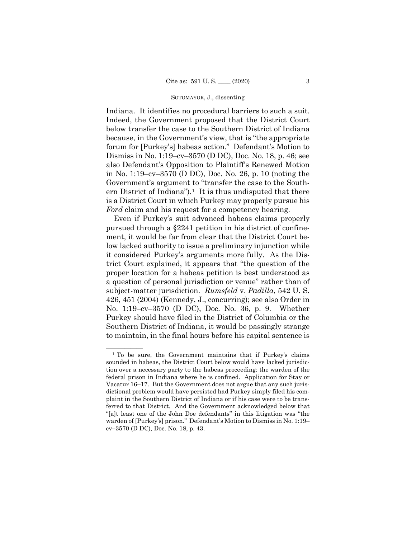Indiana. It identifies no procedural barriers to such a suit. Indeed, the Government proposed that the District Court below transfer the case to the Southern District of Indiana because, in the Government's view, that is "the appropriate forum for [Purkey's] habeas action." Defendant's Motion to Dismiss in No. 1:19–cv–3570 (D DC), Doc. No. 18, p. 46; see also Defendant's Opposition to Plaintiff's Renewed Motion in No. 1:19–cv–3570 (D DC), Doc. No. 26, p. 10 (noting the Government's argument to "transfer the case to the Southern District of Indiana").<sup>1</sup> It is thus undisputed that there is a District Court in which Purkey may properly pursue his *Ford* claim and his request for a competency hearing.

Even if Purkey's suit advanced habeas claims properly pursued through a §2241 petition in his district of confinement, it would be far from clear that the District Court below lacked authority to issue a preliminary injunction while it considered Purkey's arguments more fully. As the District Court explained, it appears that "the question of the proper location for a habeas petition is best understood as a question of personal jurisdiction or venue" rather than of subject-matter jurisdiction. *Rumsfeld* v. *Padilla*, 542 U. S. 426, 451 (2004) (Kennedy, J., concurring); see also Order in No. 1:19–cv–3570 (D DC), Doc. No. 36, p. 9. Whether Purkey should have filed in the District of Columbia or the Southern District of Indiana, it would be passingly strange to maintain, in the final hours before his capital sentence is

——————

<span id="page-6-0"></span><sup>&</sup>lt;sup>1</sup> To be sure, the Government maintains that if Purkey's claims sounded in habeas, the District Court below would have lacked jurisdiction over a necessary party to the habeas proceeding: the warden of the federal prison in Indiana where he is confined. Application for Stay or Vacatur 16–17. But the Government does not argue that any such jurisdictional problem would have persisted had Purkey simply filed his complaint in the Southern District of Indiana or if his case were to be transferred to that District. And the Government acknowledged below that "[a]t least one of the John Doe defendants" in this litigation was "the warden of [Purkey's] prison." Defendant's Motion to Dismiss in No. 1:19– cv–3570 (D DC), Doc. No. 18, p. 43.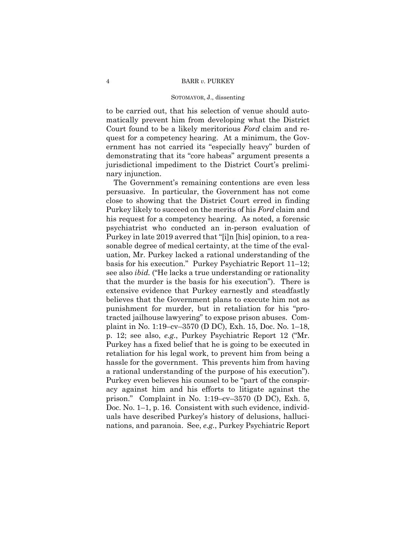## 4 BARR *v.* PURKEY

## SOTOMAYOR, J., dissenting

to be carried out, that his selection of venue should automatically prevent him from developing what the District Court found to be a likely meritorious *Ford* claim and request for a competency hearing. At a minimum, the Government has not carried its "especially heavy" burden of demonstrating that its "core habeas" argument presents a jurisdictional impediment to the District Court's preliminary injunction.

The Government's remaining contentions are even less persuasive. In particular, the Government has not come close to showing that the District Court erred in finding Purkey likely to succeed on the merits of his *Ford* claim and his request for a competency hearing. As noted, a forensic psychiatrist who conducted an in-person evaluation of Purkey in late 2019 averred that "[i]n [his] opinion, to a reasonable degree of medical certainty, at the time of the evaluation, Mr. Purkey lacked a rational understanding of the basis for his execution." Purkey Psychiatric Report 11–12; see also *ibid.* ("He lacks a true understanding or rationality that the murder is the basis for his execution"). There is extensive evidence that Purkey earnestly and steadfastly believes that the Government plans to execute him not as punishment for murder, but in retaliation for his "protracted jailhouse lawyering" to expose prison abuses. Complaint in No. 1:19–cv–3570 (D DC), Exh. 15, Doc. No. 1–18, p. 12; see also, *e.g.*, Purkey Psychiatric Report 12 ("Mr. Purkey has a fixed belief that he is going to be executed in retaliation for his legal work, to prevent him from being a hassle for the government. This prevents him from having a rational understanding of the purpose of his execution"). Purkey even believes his counsel to be "part of the conspiracy against him and his efforts to litigate against the prison." Complaint in No. 1:19–cv–3570 (D DC), Exh. 5, Doc. No. 1–1, p. 16. Consistent with such evidence, individuals have described Purkey's history of delusions, hallucinations, and paranoia. See, *e.g.*, Purkey Psychiatric Report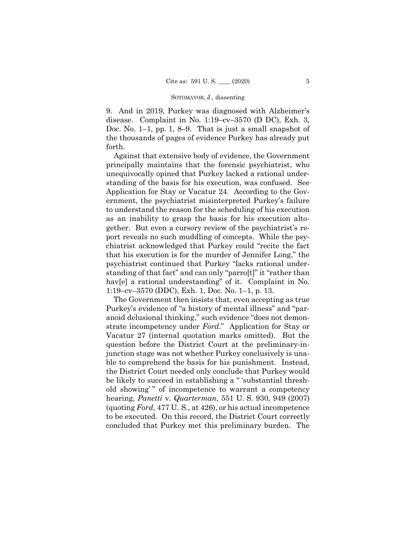9. And in 2019, Purkey was diagnosed with Alzheimer's disease. Complaint in No. 1:19–cv–3570 (D DC), Exh. 3, Doc. No. 1–1, pp. 1, 8–9. That is just a small snapshot of the thousands of pages of evidence Purkey has already put forth.

Against that extensive body of evidence, the Government principally maintains that the forensic psychiatrist, who unequivocally opined that Purkey lacked a rational understanding of the basis for his execution, was confused. See Application for Stay or Vacatur 24. According to the Government, the psychiatrist misinterpreted Purkey's failure to understand the reason for the scheduling of his execution as an inability to grasp the basis for his execution altogether. But even a cursory review of the psychiatrist's report reveals no such muddling of concepts. While the psychiatrist acknowledged that Purkey could "recite the fact that his execution is for the murder of Jennifer Long," the psychiatrist continued that Purkey "lacks rational understanding of that fact" and can only "parro[t]" it "rather than hav[e] a rational understanding" of it. Complaint in No. 1:19–cv–3570 (DDC), Exh. 1, Doc. No. 1–1, p. 13.

The Government then insists that, even accepting as true Purkey's evidence of "a history of mental illness" and "paranoid delusional thinking," such evidence "does not demonstrate incompetency under *Ford*." Application for Stay or Vacatur 27 (internal quotation marks omitted). But the question before the District Court at the preliminary-injunction stage was not whether Purkey conclusively is unable to comprehend the basis for his punishment. Instead, the District Court needed only conclude that Purkey would be likely to succeed in establishing a " 'substantial threshold showing' " of incompetence to warrant a competency hearing, *Panetti* v. *Quarterman*, 551 U. S. 930, 949 (2007) (quoting *Ford*, 477 U. S., at 426), or his actual incompetence to be executed. On this record, the District Court correctly concluded that Purkey met this preliminary burden. The